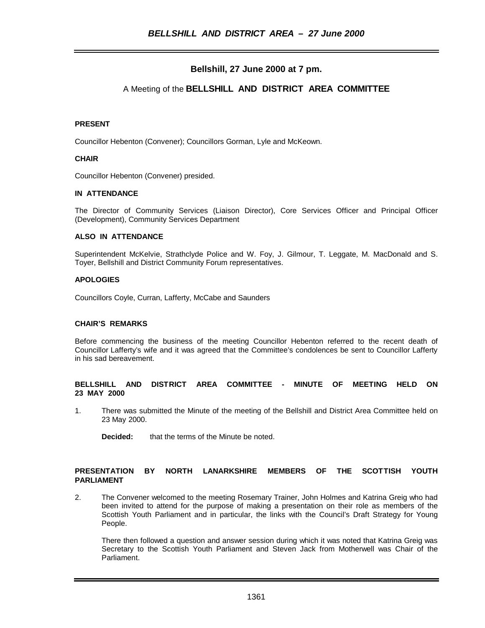# **Bellshill, 27 June 2000 at 7 pm.**

# A Meeting of the **BELLSHILL AND DISTRICT AREA COMMITTEE**

## **PRESENT**

Councillor Hebenton (Convener); Councillors Gorman, Lyle and McKeown.

### **CHAIR**

Councillor Hebenton (Convener) presided.

### **IN ATTENDANCE**

The Director of Community Services (Liaison Director), Core Services Officer and Principal Officer (Development), Community Services Department

### **ALSO IN ATTENDANCE**

Superintendent McKelvie, Strathclyde Police and W. Foy, J. Gilmour, T. Leggate, M. MacDonald and S. Toyer, Bellshill and District Community Forum representatives.

### **APOLOGIES**

Councillors Coyle, Curran, Lafferty, McCabe and Saunders

#### **CHAIR'S REMARKS**

Before commencing the business of the meeting Councillor Hebenton referred to the recent death of Councillor Lafferty's wife and it was agreed that the Committee's condolences be sent to Councillor Lafferty in his sad bereavement.

### **BELLSHILL AND DISTRICT AREA COMMITTEE - MINUTE OF MEETING HELD ON 23 MAY 2000**

1. There was submitted the Minute of the meeting of the Bellshill and District Area Committee held on 23 May 2000.

**Decided:** that the terms of the Minute be noted.

## **PRESENTATION BY NORTH LANARKSHIRE MEMBERS OF THE SCOTTISH YOUTH PARLIAMENT**

2. The Convener welcomed to the meeting Rosemary Trainer, John Holmes and Katrina Greig who had been invited to attend for the purpose of making a presentation on their role as members of the Scottish Youth Parliament and in particular, the links with the Council's Draft Strategy for Young People.

There then followed a question and answer session during which it was noted that Katrina Greig was Secretary to the Scottish Youth Parliament and Steven Jack from Motherwell was Chair of the Parliament.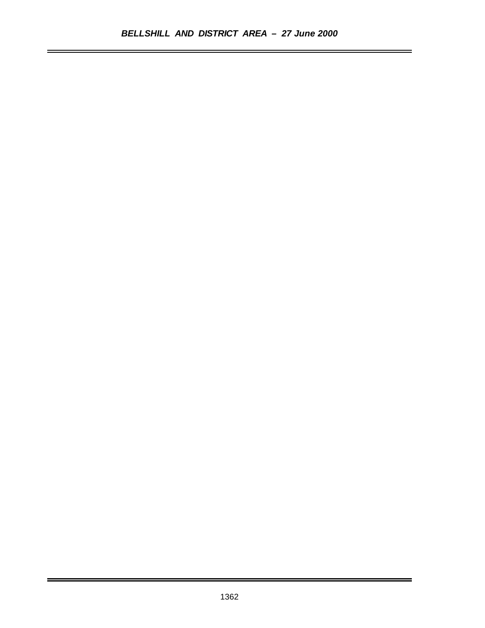÷.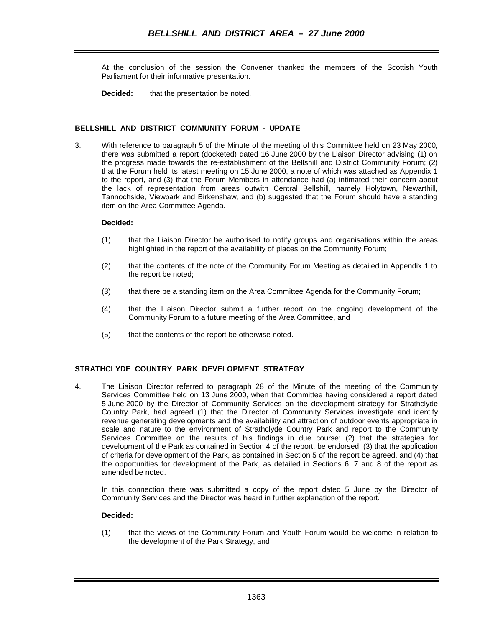At the conclusion of the session the Convener thanked the members of the Scottish Youth Parliament for their informative presentation.

**Decided:** that the presentation be noted.

## **BELLSHILL AND DISTRICT COMMUNITY FORUM - UPDATE**

3. With reference to paragraph 5 of the Minute of the meeting of this Committee held on 23 May 2000, there was submitted a report (docketed) dated 16 June 2000 by the Liaison Director advising (1) on the progress made towards the re-establishment of the Bellshill and District Community Forum; (2) that the Forum held its latest meeting on 15 June 2000, a note of which was attached as Appendix 1 to the report, and (3) that the Forum Members in attendance had (a) intimated their concern about the lack of representation from areas outwith Central Bellshill, namely Holytown, Newarthill, Tannochside, Viewpark and Birkenshaw, and (b) suggested that the Forum should have a standing item on the Area Committee Agenda.

### **Decided:**

- (1) that the Liaison Director be authorised to notify groups and organisations within the areas highlighted in the report of the availability of places on the Community Forum;
- (2) that the contents of the note of the Community Forum Meeting as detailed in Appendix 1 to the report be noted;
- (3) that there be a standing item on the Area Committee Agenda for the Community Forum;
- (4) that the Liaison Director submit a further report on the ongoing development of the Community Forum to a future meeting of the Area Committee, and
- (5) that the contents of the report be otherwise noted.

## **STRATHCLYDE COUNTRY PARK DEVELOPMENT STRATEGY**

4. The Liaison Director referred to paragraph 28 of the Minute of the meeting of the Community Services Committee held on 13 June 2000, when that Committee having considered a report dated 5 June 2000 by the Director of Community Services on the development strategy for Strathclyde Country Park, had agreed (1) that the Director of Community Services investigate and identify revenue generating developments and the availability and attraction of outdoor events appropriate in scale and nature to the environment of Strathclyde Country Park and report to the Community Services Committee on the results of his findings in due course; (2) that the strategies for development of the Park as contained in Section 4 of the report, be endorsed; (3) that the application of criteria for development of the Park, as contained in Section 5 of the report be agreed, and (4) that the opportunities for development of the Park, as detailed in Sections 6, 7 and 8 of the report as amended be noted.

In this connection there was submitted a copy of the report dated 5 June by the Director of Community Services and the Director was heard in further explanation of the report.

## **Decided:**

(1) that the views of the Community Forum and Youth Forum would be welcome in relation to the development of the Park Strategy, and